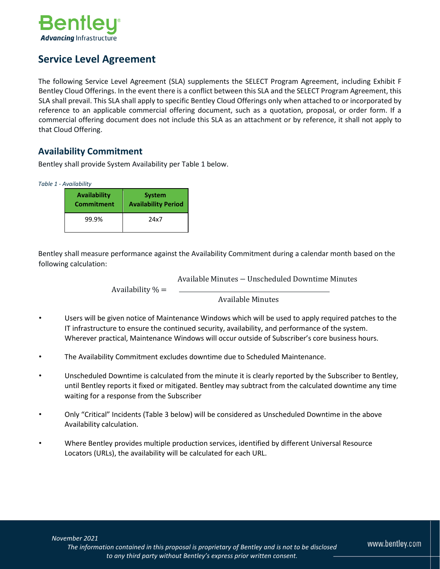

# **Service Level Agreement**

The following Service Level Agreement (SLA) supplements the SELECT Program Agreement, including Exhibit F Bentley Cloud Offerings. In the event there is a conflict between this SLA and the SELECT Program Agreement, this SLA shall prevail. This SLA shall apply to specific Bentley Cloud Offerings only when attached to or incorporated by reference to an applicable commercial offering document, such as a quotation, proposal, or order form. If a commercial offering document does not include this SLA as an attachment or by reference, it shall not apply to that Cloud Offering.

### **Availability Commitment**

Bentley shall provide System Availability per Table 1 below.

*Table 1 - Availability*

| Availability      | <b>System</b>              |
|-------------------|----------------------------|
| <b>Commitment</b> | <b>Availability Period</b> |
| 99.9%             | 24x7                       |

Bentley shall measure performance against the Availability Commitment during a calendar month based on the following calculation:

Available Minutes − Unscheduled Downtime Minutes

Availability  $% =$ 

#### Available Minutes

- Users will be given notice of Maintenance Windows which will be used to apply required patches to the IT infrastructure to ensure the continued security, availability, and performance of the system. Wherever practical, Maintenance Windows will occur outside of Subscriber's core business hours.
- The Availability Commitment excludes downtime due to Scheduled Maintenance.
- Unscheduled Downtime is calculated from the minute it is clearly reported by the Subscriber to Bentley, until Bentley reports it fixed or mitigated. Bentley may subtract from the calculated downtime any time waiting for a response from the Subscriber
- Only "Critical" Incidents (Table 3 below) will be considered as Unscheduled Downtime in the above Availability calculation.
- Where Bentley provides multiple production services, identified by different Universal Resource Locators (URLs), the availability will be calculated for each URL.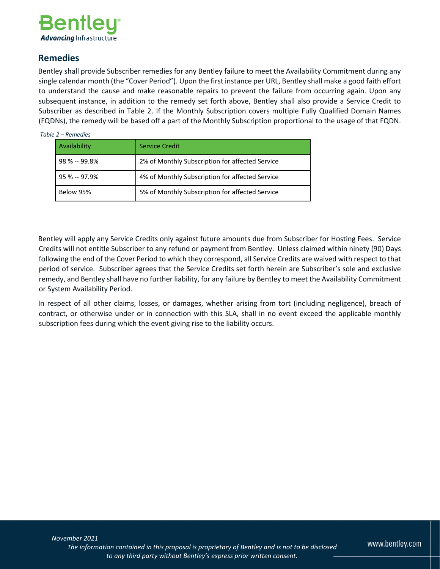

### **Remedies**

Bentley shall provide Subscriber remedies for any Bentley failure to meet the Availability Commitment during any single calendar month (the "Cover Period"). Upon the first instance per URL, Bentley shall make a good faith effort to understand the cause and make reasonable repairs to prevent the failure from occurring again. Upon any subsequent instance, in addition to the remedy set forth above, Bentley shall also provide a Service Credit to Subscriber as described in Table 2. If the Monthly Subscription covers multiple Fully Qualified Domain Names (FQDNs), the remedy will be based off a part of the Monthly Subscription proportional to the usage of that FQDN.

#### *Table 2 – Remedies*

| Availability     | <b>Service Credit</b>                           |
|------------------|-------------------------------------------------|
| $98 \% - 99.8\%$ | 2% of Monthly Subscription for affected Service |
| $95 \% - 97.9%$  | 4% of Monthly Subscription for affected Service |
| Below 95%        | 5% of Monthly Subscription for affected Service |

Bentley will apply any Service Credits only against future amounts due from Subscriber for Hosting Fees. Service Credits will not entitle Subscriber to any refund or payment from Bentley. Unless claimed within ninety (90) Days following the end of the Cover Period to which they correspond, all Service Credits are waived with respect to that period of service. Subscriber agrees that the Service Credits set forth herein are Subscriber's sole and exclusive remedy, and Bentley shall have no further liability, for any failure by Bentley to meet the Availability Commitment or System Availability Period.

In respect of all other claims, losses, or damages, whether arising from tort (including negligence), breach of contract, or otherwise under or in connection with this SLA, shall in no event exceed the applicable monthly subscription fees during which the event giving rise to the liability occurs.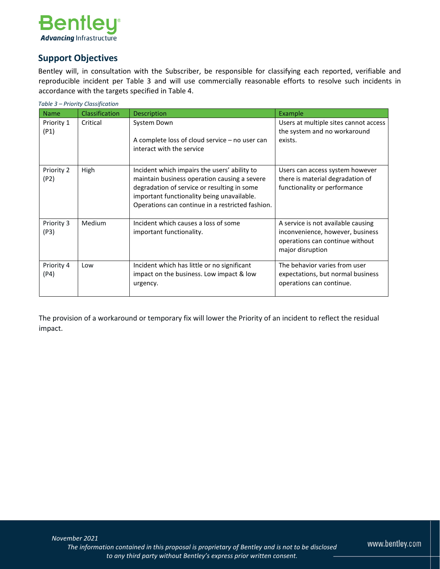

## **Support Objectives**

Bentley will, in consultation with the Subscriber, be responsible for classifying each reported, verifiable and reproducible incident per Table 3 and will use commercially reasonable efforts to resolve such incidents in accordance with the targets specified in Table 4.

| Table 3 – Priority Classification |                |                                                                                                                                                                                                                                               |                                                                                                                               |  |
|-----------------------------------|----------------|-----------------------------------------------------------------------------------------------------------------------------------------------------------------------------------------------------------------------------------------------|-------------------------------------------------------------------------------------------------------------------------------|--|
| <b>Name</b>                       | Classification | <b>Description</b>                                                                                                                                                                                                                            | Example                                                                                                                       |  |
| Priority 1<br>(P1)                | Critical       | System Down<br>A complete loss of cloud service – no user can<br>interact with the service                                                                                                                                                    | Users at multiple sites cannot access<br>the system and no workaround<br>exists.                                              |  |
| Priority 2<br>(P2)                | High           | Incident which impairs the users' ability to<br>maintain business operation causing a severe<br>degradation of service or resulting in some<br>important functionality being unavailable.<br>Operations can continue in a restricted fashion. | Users can access system however<br>there is material degradation of<br>functionality or performance                           |  |
| Priority 3<br>(P3)                | Medium         | Incident which causes a loss of some<br>important functionality.                                                                                                                                                                              | A service is not available causing<br>inconvenience, however, business<br>operations can continue without<br>major disruption |  |
| Priority 4<br>(P4)                | Low            | Incident which has little or no significant<br>impact on the business. Low impact & low<br>urgency.                                                                                                                                           | The behavior varies from user<br>expectations, but normal business<br>operations can continue.                                |  |

The provision of a workaround or temporary fix will lower the Priority of an incident to reflect the residual impact.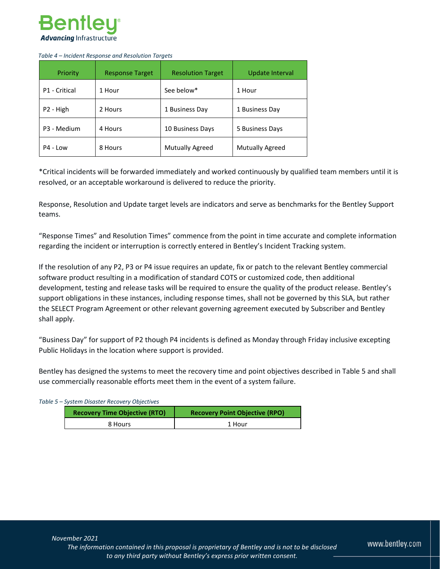

#### *Table 4 – Incident Response and Resolution Targets*

| Priority              | <b>Response Target</b> | <b>Resolution Target</b> | Update Interval |
|-----------------------|------------------------|--------------------------|-----------------|
| P1 - Critical         | 1 Hour                 | See below*               | 1 Hour          |
| P <sub>2</sub> - High | 2 Hours                | 1 Business Day           | 1 Business Day  |
| P3 - Medium           | 4 Hours                | 10 Business Days         | 5 Business Days |
| P4 - Low              | 8 Hours                | <b>Mutually Agreed</b>   | Mutually Agreed |

\*Critical incidents will be forwarded immediately and worked continuously by qualified team members until it is resolved, or an acceptable workaround is delivered to reduce the priority.

Response, Resolution and Update target levels are indicators and serve as benchmarks for the Bentley Support teams.

"Response Times" and Resolution Times" commence from the point in time accurate and complete information regarding the incident or interruption is correctly entered in Bentley's Incident Tracking system.

If the resolution of any P2, P3 or P4 issue requires an update, fix or patch to the relevant Bentley commercial software product resulting in a modification of standard COTS or customized code, then additional development, testing and release tasks will be required to ensure the quality of the product release. Bentley's support obligations in these instances, including response times, shall not be governed by this SLA, but rather the SELECT Program Agreement or other relevant governing agreement executed by Subscriber and Bentley shall apply.

"Business Day" for support of P2 though P4 incidents is defined as Monday through Friday inclusive excepting Public Holidays in the location where support is provided.

Bentley has designed the systems to meet the recovery time and point objectives described in Table 5 and shall use commercially reasonable efforts meet them in the event of a system failure.

#### *Table 5 – System Disaster Recovery Objectives*

| <b>Recovery Time Objective (RTO)</b> | <b>Recovery Point Objective (RPO)</b> |  |
|--------------------------------------|---------------------------------------|--|
| 8 Hours                              | 1 Hour                                |  |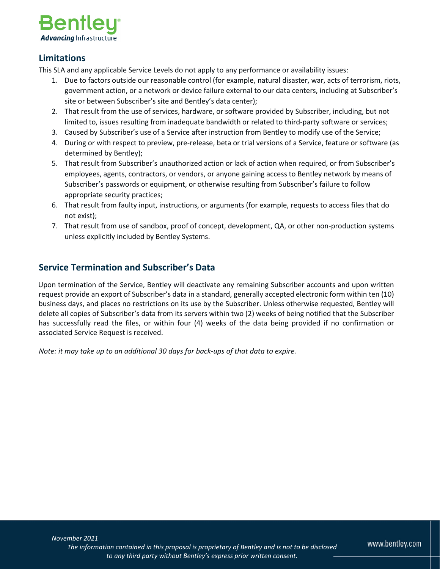

### **Limitations**

This SLA and any applicable Service Levels do not apply to any performance or availability issues:

- 1. Due to factors outside our reasonable control (for example, natural disaster, war, acts of terrorism, riots, government action, or a network or device failure external to our data centers, including at Subscriber's site or between Subscriber's site and Bentley's data center);
- 2. That result from the use of services, hardware, or software provided by Subscriber, including, but not limited to, issues resulting from inadequate bandwidth or related to third-party software or services;
- 3. Caused by Subscriber's use of a Service after instruction from Bentley to modify use of the Service;
- 4. During or with respect to preview, pre-release, beta or trial versions of a Service, feature or software (as determined by Bentley);
- 5. That result from Subscriber's unauthorized action or lack of action when required, or from Subscriber's employees, agents, contractors, or vendors, or anyone gaining access to Bentley network by means of Subscriber's passwords or equipment, or otherwise resulting from Subscriber's failure to follow appropriate security practices;
- 6. That result from faulty input, instructions, or arguments (for example, requests to access files that do not exist);
- 7. That result from use of sandbox, proof of concept, development, QA, or other non-production systems unless explicitly included by Bentley Systems.

# **Service Termination and Subscriber's Data**

Upon termination of the Service, Bentley will deactivate any remaining Subscriber accounts and upon written request provide an export of Subscriber's data in a standard, generally accepted electronic form within ten (10) business days, and places no restrictions on its use by the Subscriber. Unless otherwise requested, Bentley will delete all copies of Subscriber's data from its servers within two (2) weeks of being notified that the Subscriber has successfully read the files, or within four (4) weeks of the data being provided if no confirmation or associated Service Request is received.

*Note: it may take up to an additional 30 days for back-ups of that data to expire.* 

www.bentley.com